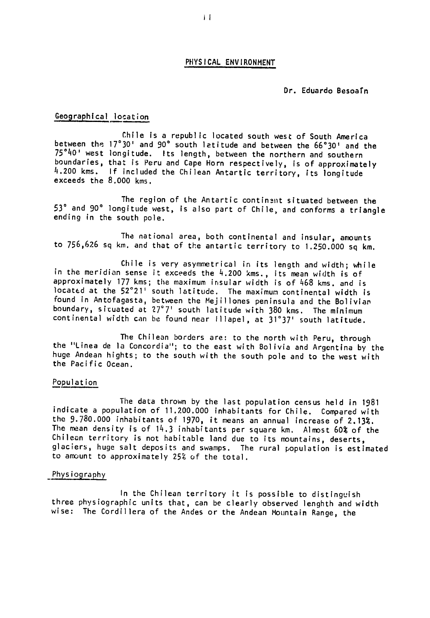## PHYSICAL **ENVIRONMENT**

# Dr. Eduardo Besoatn

## Geographical location

Chile Is a republic located south west of South America between the 17<sup>°</sup>301 and 90° south letitude and between the 66°301 and the<br>75°401 west longitude. Its length, between the northern and the boundaries, that is Peru and Cape Horn respectively, is of approximately 11.200 kms. **If** included the Chilean Antartic territory, its longitude exceeds the **8.000** kms.

The region of Lhe Antartic continent situated between the **510and 90° and 90° inclusion of the Antartic continents situated between the**<br>53° and 90° longitude west, is also part of Chile, and conforms a triangle ending in the south pole.

The national area, both continental and insular, amounts to 756,626 sq km. and that of the antartic territory to 1.250.000 sq km.

Chile is very asymmetrical in its length and width; while in the meridian sense it exceeds the 4.200 kms., its mean width is of approximately 177 kms; the maximum insular width is of 468 kms. and is located at the 52'21' south latitude. The maximum continental width is found in Antofagasta, between the Mejillones peninsula and the Bolivian boundary, situated at 27°7' south latitude with 380 kms. The minimum continental width can be found near illapel, at **31'37 '** south latitude.

The Chilean borders are: to the north with Peru, through the "Linea de la Concordia"; to the east with Bolivia and Argentina by the huge Andean hights; to the south with the south pole and to the west with the Pacific Ocean.

### Population

The data thrown by the last population census held in 1981 indicate a population of 11.200.000 inhabitants for Chile. Compared with the 9.780.000 inhabitants of 1970, it means an annual increase of 2.13%. the 9.780.000 inhabitants of 1970, it means an annual increase of 2**.13%.**<br>The mean density is of 14.3 inhabitants per square km. Almost 60% of the Chilean territory is not habitable land due to its mountains, deserts, glaciers, huge salt deposits and swamps. The rural population is estimated to amount to approximately 25% of the total.

## -Physiography

In the Chilean territory it is possible to distinguish three physiographic units that, can be clearly observed lenghth and width wise: The Cordillera of the Andes or the Andean Mountain Range, the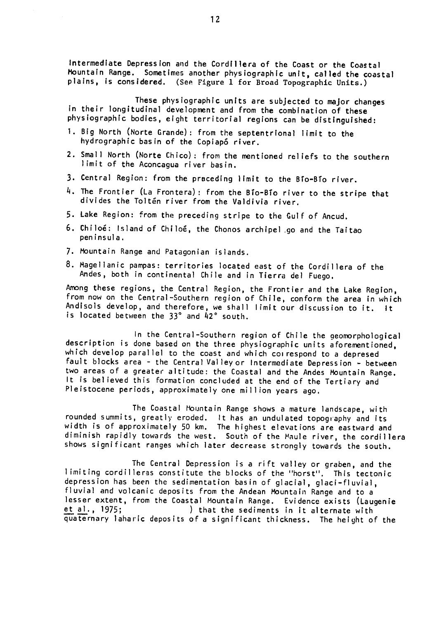Intermediate Depression and the Cordillera of the Coast or the Coastal Mountain Range. Sometimes another physiographic unit, called the coastal plains, is considered. (See Figure 1 for Broad Topographic Units.)

These physiographic units are subjected to major changes in their longitudinal development and from the combination of these physiographic bodies, eight territorial regions can be distinguished:

- **1.** Big North (Norte Grande): from the septentrional limit to the hydrographic basin of the Copiap6 river.
- 2. Small North (Norte Chico): from the mentioned reliefs to the southern limit of the Aconcagua river basin.
- **3.** Central Region: from the preceding limit to the Bto-BTo river.
- 4. The Frontier (La Frontera): from the Bio-Bio river to the stripe that divides the Toltén river from the Valdivia river.
- **5.** Lake Region: from the preceding stripe to the Gulf of Ancud.
- **6.** Chilo6: Island of Chilo6, the Chonos archipel-go and the Taitao peninsula.
- **7.** Mountain Range and Patagonian islands.
- **8.** Magellanic pampas: territories located east of the Cordillera of the Andes, both in continental Chile and in Tierra del Fuego.

Among these regions, the Central Region, the Frontier and the Lake Region, from now on the Central-Southern region of Chile, conform the area in which Andisols develop, and therefore, we shall limit our discussion to it. It is located between the **330** and 42' south.

In the Central-Southern region of Chile the geomorphological description is done based on the three physiographic units aforementioned, which develop parallel to the coast and which coirespond to a depresed fault blocks area - the Central Valleyor Intermediate Depression - between two areas of a greater altitude: the Coastal and the Andes Mountain Range. It is believed this formation concluded at the end of the Tertiary and Pleistocene periods, approximately one million years ago.

The Coastal Mountain Range shows a mature landscape, with rounded summits, greatly eroded. Ithas an undulated topography and its width is of approximately 50 km. The highest elevations are eastward and width is of approximately 50 km. The highest elevations are eastward and<br>diminish rapidly towards the west. South of the Maule river, the cordillera shows significant ranges which later decrease strongly towards the south.

The Central Depression is a rift valley or graben, and the limiting cordilleras constitute the blocks of the "horst". This tectonic depression has been the sedimentation basin of glacial, glaci-fluvial, fluvial and volcanic deposits from the Andean Mountain Range and to a lesser extent, from the Coastal Mountain Range. Evidence exists (Laugenie et al., 1975; ) that the sediments in it alternate with quaternary laharic deposits of a significant thickness. The height of the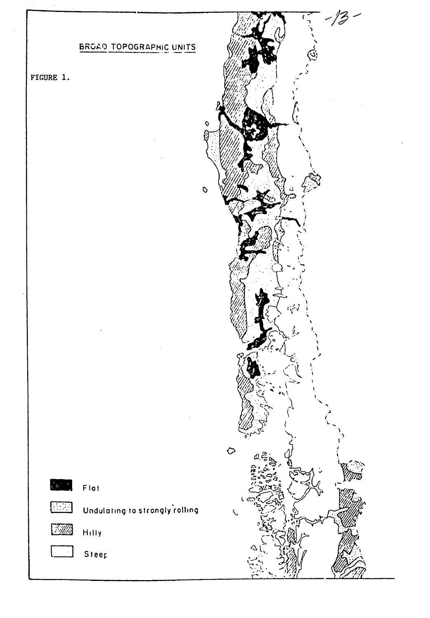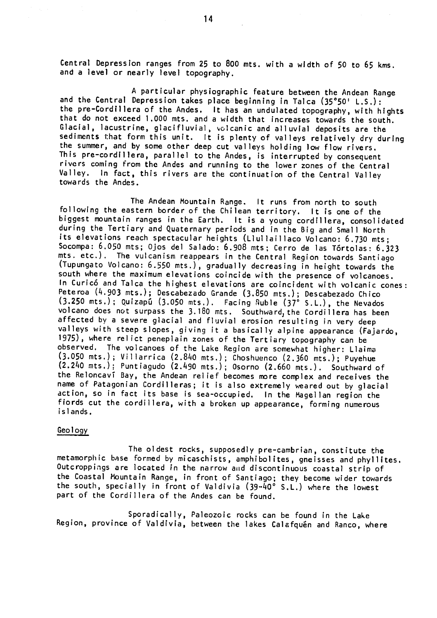Central Depression ranges from **25** to **800** mts. with a width of **50** to 65 kms. and a level or nearly level topography.

**A** particular physiographic feature between the Andean Range and the Central Depression takes place beginning in Talca **(35\*501 L.S.):**  the pre-Cordillera of the Andes. It has an undulated topography, with hights that do not exceed **1.000** mts. and a width that increases towards the south. Glacial, lacustrine, glacifluvial, volcanic and alluvial deposits are the sediments that form this unit. It is plenty of valleys relatively dry during the summer, and **by** some other deep cut valleys holding low flow rivers. the summer, and by some other deep cut valleys holding low flow rivers.<br>This pre-cordillera, parallel to the Andes, is interrupted by consequent rivers coming from the Andes and running to the lower zones of the Central Valley. In fact, this rivers are the continuation of the Central Valley towards the Andes.

The Andean Mountain Range. It runs from north to south following the eastern border of the Chilean territory. It is one of the biggest mountain ranges in the Earth. It is a young cordillera, consolidated during the Tertiary and Quaternary periods and in the Big and Small North its elevations reach spectacular heights (Liullaillaco Volcano: **6.730** mts; Socompa: **6.050** mts; Ojos del Salado: **6.908** mts; Cerro de las T6rtolas: **6.323** mts. etc.). The vulcanism reappears in the Central Region towards Santiago (Tupungato Volcano: **6.550** mts.), gradually decreasing in height towards the south where the maximum elevations coincide with the presence of volcanoes. In Curic6 and Talca the highest elevations are coincident with volcanic cones: Peteroa (4.903 mts.); Descabezado Grande **(3.850** mts.); Descabezado Chico (3.250 mts.); Quizap6 **(3.050 °**  mts.). Facing nuble **(37 S.L.),** the Nevados volcano does not surpass the 3.180 mts. Southward, the Cordillera has been affected by a severe glacial and fluvial erosion resulting in very deep valleys with steep slopes, giving it a basically alpine appearance (Fajardo, 1975), where relict peneplain zones of the Tertiary topography can be **1975),** where relict peneplain zones of the Tertiary topography can be observed. The volcanoes of the Lake Region are somewhat higher: Llaima (3.050 mts.); Villarrica (2.840 mts.); Choshuenco (2.360 mts.); Puyehue (2.240 mts.); Puntiagudo (2.490 mts.); Osorno (2.660 mts.). Southward of the ReloncavT Bay, the Andean relief becomes more complex and receives the name of Patagonian Cordilleras; it is also extremely weared out by glacial action, so in fact its base is sea-occupied. In the Magellan region the fiords cut the cordillera, with a broken up appearance, forming numerous islands.

#### Geology

The oldest rocks, supposedly pre-cambrian, constitute the metamorphic base formed by micaschists, amphibolites, gneisses and phyllites. Outcroppings are located in the narrow and discontinuous coastal strip of the Coastal Mountain Range, in front of Santiago; they become wider towards the south, specially in front of Valdivia  $(39 - \bar{40^{\circ}} \text{ S.L.})$  where the lowest part of the Cordillera of the Andes can be found.

Sporadically, Paleozoic rocks can be found in the Lake Region, province of Valdivia, between the lakes Calafquén and Ranco, where

14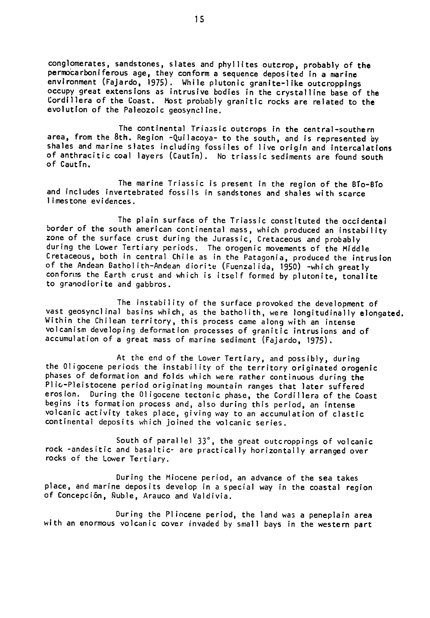conglomerates, sandstones, slates and phyllites outcrop, probably of the permocarboniferous age, they conform a sequence deposited In a marine permocarboniterous age, they conform a sequence deposited in a marine<br>environment (Fajardo, 1975). While plutonic granite-like outcroppings environment (Fajardo, 1975). While plutonic granite-like outcroppings<br>occupy great extensions as intrusive bodies in the crystalline base of the Cordillera of the Coast. Host probably granitic rocks are related to the evolution of the Paleozoic geosyncline.

The continental Triassic outcrops in the central-southern area, from the 8th. Region -Quilacoya- to the south, and is represented **by** shales and marine slates including fossiles of live origin and intercalations of anthracitic coal layers (Cautin). No triassic sediments are found south of Cautin.

The marine Triassic is present in the region of the Blo-Blo and includes invertebrated fossils in sandstones and shales with scarce limestone evidences.

The plain surface of the Triassic constituted the occidental border of the south american continental mass, which produced an instability border of the south american continental mass, which produced an instability<br>zone of the surface crust during the Jurassic, Cretaceous and probably during the Lower Tertiary periods. The orogenic movements of the Middle Cretaceous, both in central Chile as in the Patagonia, produced the intrusion of the Andean Datholith-Andean diorite (Fuenzalida, **1950)** -which greatly conforms the Earth crust and which is itself formed **by** plutonite, tonalite to granodiorite and gabbros.

The instability of the surface provoked the development of vast geosynclinal basins which, as the batholith, were longitudinally elongated. Within the Chilean territory, this process came along with an intense volcanism developing deformation processes of granitic intrusions and of accumulation of a great mass of marine sediment (Fajardo, **1975).** 

At the end of the Lower Tertiary, and possibly, during the Oligocene periods the instability of the territory originated orogenic phases of deformation and folds which were rather continuous during the Plic-Pleistocene period originating mountain ranges that later suffered erosion. During the Oligocene tectonic phase, the Cordillera of the Coast begins its formation process and, also during this period, an intense volcanic activity takes place, giving way to an accumulation of clastic continental deposits which joined the volcanic series.

South of parallel  $33^\circ$ , the great outcroppings of volcanic rock -andesitic and basaltic- are practically horizontally arranged over rocks of the Lower Tertiary.

During the Miocene period, an advance of the sea takes place, and marine deposits develop in a special way in the coastal region of Concepci6n, Ruble, Arauco and Valdivia.

During the Pliocene period, the land was a peneplain area with an enormous volcanic cover invaded by small bays in the western part